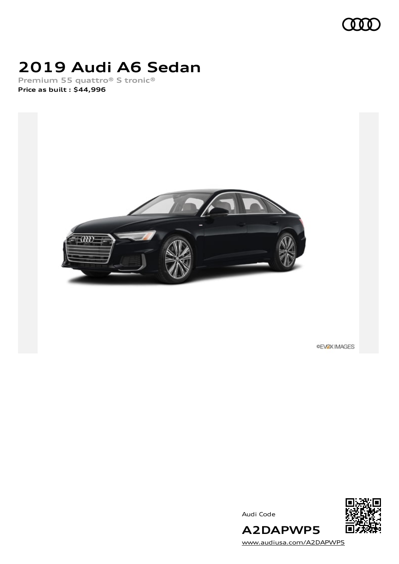

## **2019 Audi A6 Sedan**

**Premium 55 quattro® S tronic® Price as built [:](#page-10-0) \$44,996**



**OEVOX IMAGES** 



Audi Code

[www.audiusa.com/A2DAPWP5](https://www.audiusa.com/A2DAPWP5)

**A2DAPWP5**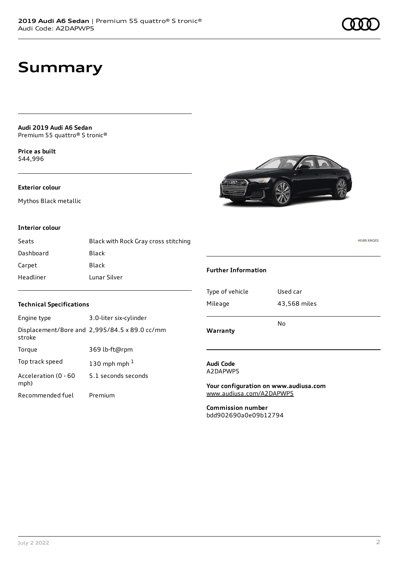**Audi 2019 Audi A6 Sedan** Premium 55 quattro® S tronic®

**Price as buil[t](#page-10-0)** \$44,996

#### **Exterior colour**

Mythos Black metallic

#### **Interior colour**

| Seats     | Black with Rock Gray cross stitching |
|-----------|--------------------------------------|
| Dashboard | Black                                |
| Carpet    | Black                                |
| Headliner | Lunar Silver                         |

#### **Technical Specifications**

| Engine type                  | 3.0-liter six-cylinder                        |
|------------------------------|-----------------------------------------------|
| stroke                       | Displacement/Bore and 2,995/84.5 x 89.0 cc/mm |
| Torque                       | 369 lb-ft@rpm                                 |
| Top track speed              | 130 mph mph $1$                               |
| Acceleration (0 - 60<br>mph) | 5.1 seconds seconds                           |
| Recommended fuel             | Premium                                       |

#### **Further Information**

| Type of vehicle<br>Mileage | Used car<br>43,568 miles |
|----------------------------|--------------------------|
|                            | N٥                       |
| Warranty                   |                          |

#### **Audi Code** A2DAPWP5

**Your configuration on www.audiusa.com** [www.audiusa.com/A2DAPWP5](https://www.audiusa.com/A2DAPWP5)

**Commission number** bdd902690a0e09b12794 **OEVEX IMAGES**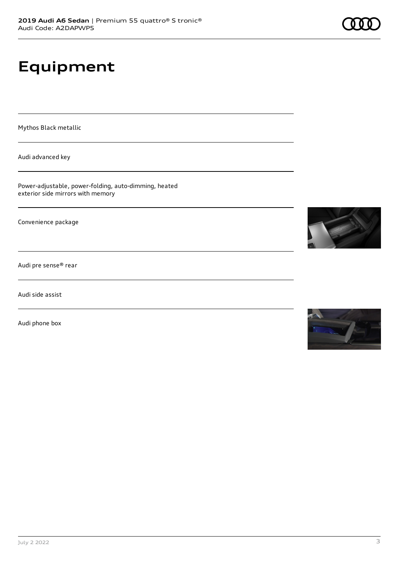# **Equipment**

Mythos Black metallic

Audi advanced key

Power-adjustable, power-folding, auto-dimming, heated exterior side mirrors with memory

Convenience package

Audi pre sense® rear

Audi side assist

Audi phone box



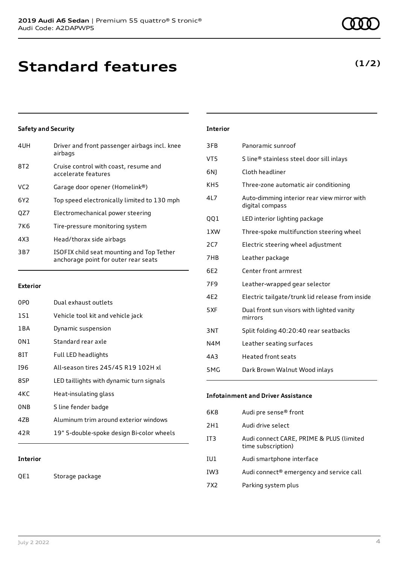# **Standard features**

#### **Safety and Security**

| 4UH             | Driver and front passenger airbags incl. knee<br>airbags                          |
|-----------------|-----------------------------------------------------------------------------------|
| 8T <sub>2</sub> | Cruise control with coast, resume and<br>accelerate features                      |
| VC <sub>2</sub> | Garage door opener (Homelink®)                                                    |
| 6Y <sub>2</sub> | Top speed electronically limited to 130 mph                                       |
| QZ7             | Electromechanical power steering                                                  |
| 7K6             | Tire-pressure monitoring system                                                   |
| 4X3             | Head/thorax side airbags                                                          |
| 3B7             | ISOFIX child seat mounting and Top Tether<br>anchorage point for outer rear seats |

#### **Exterior**

| 0PO   | Dual exhaust outlets                      |
|-------|-------------------------------------------|
| 1S1   | Vehicle tool kit and vehicle jack         |
| 1 B A | Dynamic suspension                        |
| 0N1   | Standard rear axle                        |
| 81T   | Full LED headlights                       |
| 196   | All-season tires 245/45 R19 102H xl       |
| 8SP   | LED taillights with dynamic turn signals  |
| 4KC   | Heat-insulating glass                     |
| 0NB   | S line fender badge                       |
| 47B   | Aluminum trim around exterior windows     |
| 42 R  | 19" 5-double-spoke design Bi-color wheels |
|       |                                           |

#### **Interior**

QE1 Storage package

#### **Interior**

| 3FB              | Panoramic sunroof                                              |
|------------------|----------------------------------------------------------------|
| VT <sub>5</sub>  | S line® stainless steel door sill inlays                       |
| 6N)              | Cloth headliner                                                |
| KH <sub>5</sub>  | Three-zone automatic air conditioning                          |
| 4L7              | Auto-dimming interior rear view mirror with<br>digital compass |
| QQ1              | LED interior lighting package                                  |
| 1XW              | Three-spoke multifunction steering wheel                       |
| 2C7              | Electric steering wheel adjustment                             |
| 7HB              | Leather package                                                |
| 6F2              | Center front armrest                                           |
| 7F <sub>9</sub>  | Leather-wrapped gear selector                                  |
| 4E2              | Electric tailgate/trunk lid release from inside                |
| 5XF              | Dual front sun visors with lighted vanity<br>mirrors           |
| 3NT              | Split folding 40:20:40 rear seatbacks                          |
| N4M              | Leather seating surfaces                                       |
| 4A3              | <b>Heated front seats</b>                                      |
| 5 <sub>M</sub> G | Dark Brown Walnut Wood inlays                                  |

#### **Infotainment and Driver Assistance**

| 6K8 | Audi pre sense <sup>®</sup> front                              |
|-----|----------------------------------------------------------------|
| 2H1 | Audi drive select                                              |
| IT3 | Audi connect CARE, PRIME & PLUS (limited<br>time subscription) |
| IU1 | Audi smartphone interface                                      |
| IW3 | Audi connect <sup>®</sup> emergency and service call           |
| 7X2 | Parking system plus                                            |
|     |                                                                |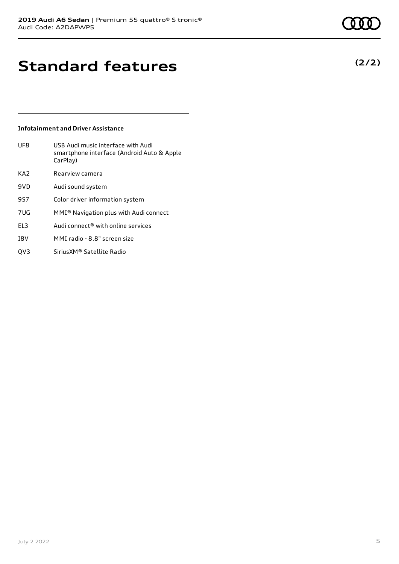**Standard features**

#### **Infotainment and Driver Assistance**

| UF8             | USB Audi music interface with Audi<br>smartphone interface (Android Auto & Apple<br>CarPlay) |
|-----------------|----------------------------------------------------------------------------------------------|
| KA <sub>2</sub> | Rearview camera                                                                              |
| 9VD             | Audi sound system                                                                            |
| 9S7             | Color driver information system                                                              |
| 7UG             | MMI <sup>®</sup> Navigation plus with Audi connect                                           |
| FI <sub>3</sub> | Audi connect <sup>®</sup> with online services                                               |
| I8V             | MMI radio - 8.8" screen size                                                                 |
|                 |                                                                                              |

QV3 SiriusXM® Satellite Radio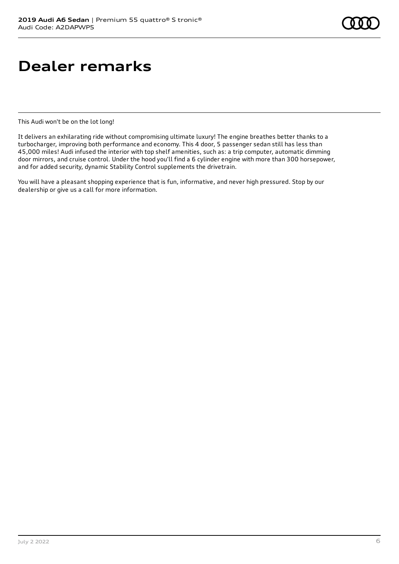## **Dealer remarks**

This Audi won't be on the lot long!

It delivers an exhilarating ride without compromising ultimate luxury! The engine breathes better thanks to a turbocharger, improving both performance and economy. This 4 door, 5 passenger sedan still has less than 45,000 miles! Audi infused the interior with top shelf amenities, such as: a trip computer, automatic dimming door mirrors, and cruise control. Under the hood you'll find a 6 cylinder engine with more than 300 horsepower, and for added security, dynamic Stability Control supplements the drivetrain.

You will have a pleasant shopping experience that is fun, informative, and never high pressured. Stop by our dealership or give us a call for more information.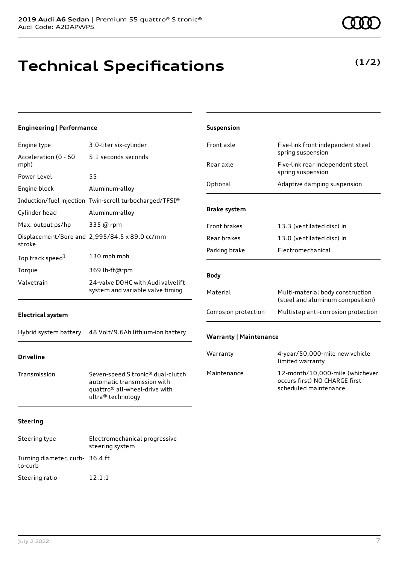## **Technical Specifications**

**(1/2)**

| <b>Engineering   Performance</b>                |                                                                                                                        | Suspension                    |                                                                                           |  |
|-------------------------------------------------|------------------------------------------------------------------------------------------------------------------------|-------------------------------|-------------------------------------------------------------------------------------------|--|
| Engine type                                     | 3.0-liter six-cylinder                                                                                                 | Front axle                    | Five-link front independent steel                                                         |  |
| Acceleration (0 - 60<br>mph)                    | 5.1 seconds seconds                                                                                                    | Rear axle                     | spring suspension<br>Five-link rear independent steel                                     |  |
| Power Level                                     | 55                                                                                                                     |                               | spring suspension                                                                         |  |
| Engine block                                    | Aluminum-alloy                                                                                                         | Optional                      | Adaptive damping suspension                                                               |  |
|                                                 | Induction/fuel injection Twin-scroll turbocharged/TFSI®                                                                |                               |                                                                                           |  |
| Cylinder head                                   | Aluminum-alloy                                                                                                         | <b>Brake system</b>           |                                                                                           |  |
| Max. output ps/hp                               | 335 @ rpm                                                                                                              | Front brakes                  | 13.3 (ventilated disc) in                                                                 |  |
| stroke                                          | Displacement/Bore and 2,995/84.5 x 89.0 cc/mm                                                                          | Rear brakes                   | 13.0 (ventilated disc) in                                                                 |  |
| Top track speed <sup>1</sup>                    | 130 mph mph                                                                                                            | Parking brake                 | Electromechanical                                                                         |  |
| Torque                                          | 369 lb-ft@rpm                                                                                                          |                               |                                                                                           |  |
| Valvetrain<br>24-valve DOHC with Audi valvelift |                                                                                                                        | <b>Body</b>                   |                                                                                           |  |
|                                                 | system and variable valve timing                                                                                       | Material                      | Multi-material body construction<br>(steel and aluminum composition)                      |  |
| <b>Electrical system</b>                        |                                                                                                                        | Corrosion protection          | Multistep anti-corrosion protection                                                       |  |
| Hybrid system battery                           | 48 Volt/9.6Ah lithium-ion battery                                                                                      | <b>Warranty   Maintenance</b> |                                                                                           |  |
| <b>Driveline</b>                                |                                                                                                                        | Warranty                      | 4-year/50,000-mile new vehicle<br>limited warranty                                        |  |
| Transmission                                    | Seven-speed S tronic® dual-clutch<br>automatic transmission with<br>quattro® all-wheel-drive with<br>ultra® technology | Maintenance                   | 12-month/10,000-mile (whichever<br>occurs first) NO CHARGE first<br>scheduled maintenance |  |
| <b>Steering</b>                                 |                                                                                                                        |                               |                                                                                           |  |
| Steering type                                   | Electromechanical progressive<br>steering system                                                                       |                               |                                                                                           |  |
| Turning diameter, curb- 36.4 ft                 |                                                                                                                        |                               |                                                                                           |  |

to-curb

Steering ratio 12.1:1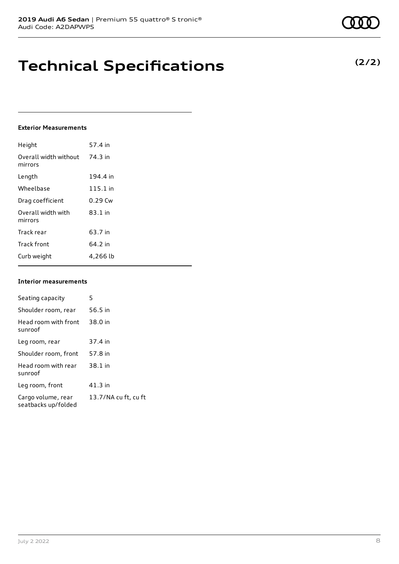## **Technical Specifications**

#### **Exterior Measurements**

| Height                           | 57.4 in    |
|----------------------------------|------------|
| Overall width without<br>mirrors | 74.3 in    |
| Length                           | 194.4 in   |
| Wheelbase                        | $115.1$ in |
| Drag coefficient                 | $0.29$ Cw  |
| Overall width with<br>mirrors    | 83.1 in    |
| Track rear                       | 63.7 in    |
| <b>Track front</b>               | 64.2 in    |
| Curb weight                      | 4,266 lb   |

#### **Interior measurements**

| Seating capacity                          | 5                    |
|-------------------------------------------|----------------------|
| Shoulder room, rear                       | 56.5 in              |
| Head room with front<br>sunroof           | 38.0 in              |
| Leg room, rear                            | 37.4 in              |
| Shoulder room, front                      | 57.8 in              |
| Head room with rear<br>sunroof            | 38.1 in              |
| Leg room, front                           | 41.3 in              |
| Cargo volume, rear<br>seatbacks up/folded | 13.7/NA cu ft, cu ft |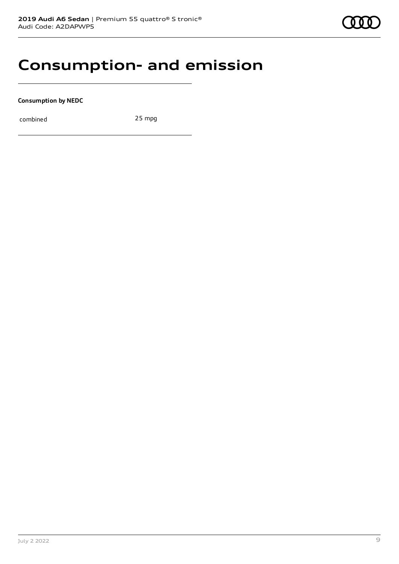### **Consumption- and emission**

**Consumption by NEDC**

combined 25 mpg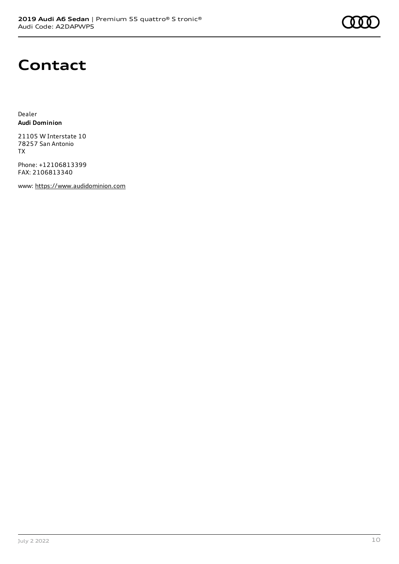### **Contact**

Dealer **Audi Dominion**

21105 W Interstate 10 78257 San Antonio TX

Phone: +12106813399 FAX: 2106813340

www: [https://www.audidominion.com](https://www.audidominion.com/)